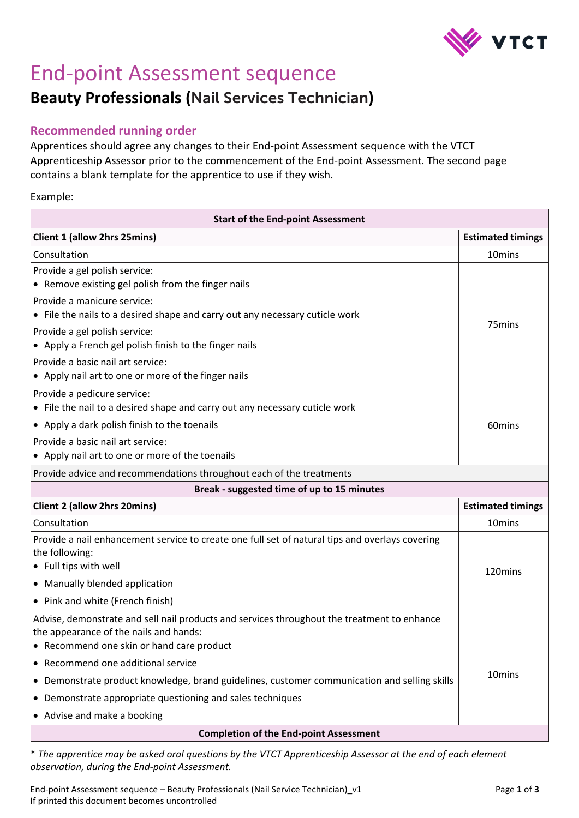

# End-point Assessment sequence

## **Beauty Professionals (**Nail Services Technician**)**

#### **Recommended running order**

Apprentices should agree any changes to their End-point Assessment sequence with the VTCT Apprenticeship Assessor prior to the commencement of the End-point Assessment. The second page contains a blank template for the apprentice to use if they wish.

#### Example:

| <b>Start of the End-point Assessment</b>                                                                                                                                           |                          |  |
|------------------------------------------------------------------------------------------------------------------------------------------------------------------------------------|--------------------------|--|
| <b>Client 1 (allow 2hrs 25mins)</b>                                                                                                                                                | <b>Estimated timings</b> |  |
| Consultation                                                                                                                                                                       | 10 <sub>mins</sub>       |  |
| Provide a gel polish service:<br>• Remove existing gel polish from the finger nails                                                                                                |                          |  |
| Provide a manicure service:<br>• File the nails to a desired shape and carry out any necessary cuticle work                                                                        |                          |  |
| Provide a gel polish service:<br>• Apply a French gel polish finish to the finger nails                                                                                            | 75mins                   |  |
| Provide a basic nail art service:<br>• Apply nail art to one or more of the finger nails                                                                                           |                          |  |
| Provide a pedicure service:<br>• File the nail to a desired shape and carry out any necessary cuticle work                                                                         |                          |  |
| $\bullet$ Apply a dark polish finish to the toenails                                                                                                                               | 60 <sub>mins</sub>       |  |
| Provide a basic nail art service:<br>• Apply nail art to one or more of the toenails                                                                                               |                          |  |
| Provide advice and recommendations throughout each of the treatments                                                                                                               |                          |  |
| Break - suggested time of up to 15 minutes                                                                                                                                         |                          |  |
|                                                                                                                                                                                    |                          |  |
| <b>Client 2 (allow 2hrs 20mins)</b>                                                                                                                                                | <b>Estimated timings</b> |  |
| Consultation                                                                                                                                                                       | 10 <sub>mins</sub>       |  |
| Provide a nail enhancement service to create one full set of natural tips and overlays covering<br>the following:<br>• Full tips with well                                         |                          |  |
| • Manually blended application                                                                                                                                                     | 120mins                  |  |
| • Pink and white (French finish)                                                                                                                                                   |                          |  |
| Advise, demonstrate and sell nail products and services throughout the treatment to enhance<br>the appearance of the nails and hands:<br>• Recommend one skin or hand care product |                          |  |
| • Recommend one additional service                                                                                                                                                 |                          |  |
| • Demonstrate product knowledge, brand guidelines, customer communication and selling skills                                                                                       | 10 <sub>mins</sub>       |  |
| • Demonstrate appropriate questioning and sales techniques                                                                                                                         |                          |  |
| • Advise and make a booking                                                                                                                                                        |                          |  |

\* *The apprentice may be asked oral questions by the VTCT Apprenticeship Assessor at the end of each element observation, during the End-point Assessment.* 

End-point Assessment sequence – Beauty Professionals (Nail Service Technician)\_v1 Page **1** of **3** If printed this document becomes uncontrolled